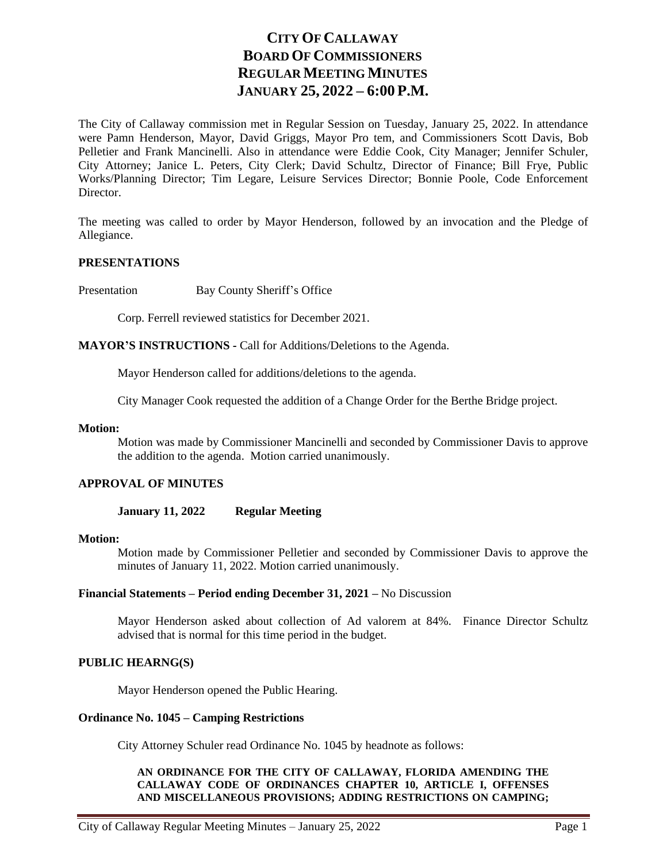# **CITY OF CALLAWAY BOARD OF COMMISSIONERS REGULAR MEETING MINUTES JANUARY 25, 2022 – 6:00 P.M.**

The City of Callaway commission met in Regular Session on Tuesday, January 25, 2022. In attendance were Pamn Henderson, Mayor, David Griggs, Mayor Pro tem, and Commissioners Scott Davis, Bob Pelletier and Frank Mancinelli. Also in attendance were Eddie Cook, City Manager; Jennifer Schuler, City Attorney; Janice L. Peters, City Clerk; David Schultz, Director of Finance; Bill Frye, Public Works/Planning Director; Tim Legare, Leisure Services Director; Bonnie Poole, Code Enforcement Director.

The meeting was called to order by Mayor Henderson, followed by an invocation and the Pledge of Allegiance.

#### **PRESENTATIONS**

Presentation Bay County Sheriff's Office

Corp. Ferrell reviewed statistics for December 2021.

**MAYOR'S INSTRUCTIONS -** Call for Additions/Deletions to the Agenda.

Mayor Henderson called for additions/deletions to the agenda.

City Manager Cook requested the addition of a Change Order for the Berthe Bridge project.

#### **Motion:**

Motion was made by Commissioner Mancinelli and seconded by Commissioner Davis to approve the addition to the agenda. Motion carried unanimously.

### **APPROVAL OF MINUTES**

#### **January 11, 2022 Regular Meeting**

### **Motion:**

Motion made by Commissioner Pelletier and seconded by Commissioner Davis to approve the minutes of January 11, 2022. Motion carried unanimously.

#### **Financial Statements – Period ending December 31, 2021 –** No Discussion

Mayor Henderson asked about collection of Ad valorem at 84%. Finance Director Schultz advised that is normal for this time period in the budget.

#### **PUBLIC HEARNG(S)**

Mayor Henderson opened the Public Hearing.

#### **Ordinance No. 1045 – Camping Restrictions**

City Attorney Schuler read Ordinance No. 1045 by headnote as follows:

#### **AN ORDINANCE FOR THE CITY OF CALLAWAY, FLORIDA AMENDING THE CALLAWAY CODE OF ORDINANCES CHAPTER 10, ARTICLE I, OFFENSES AND MISCELLANEOUS PROVISIONS; ADDING RESTRICTIONS ON CAMPING;**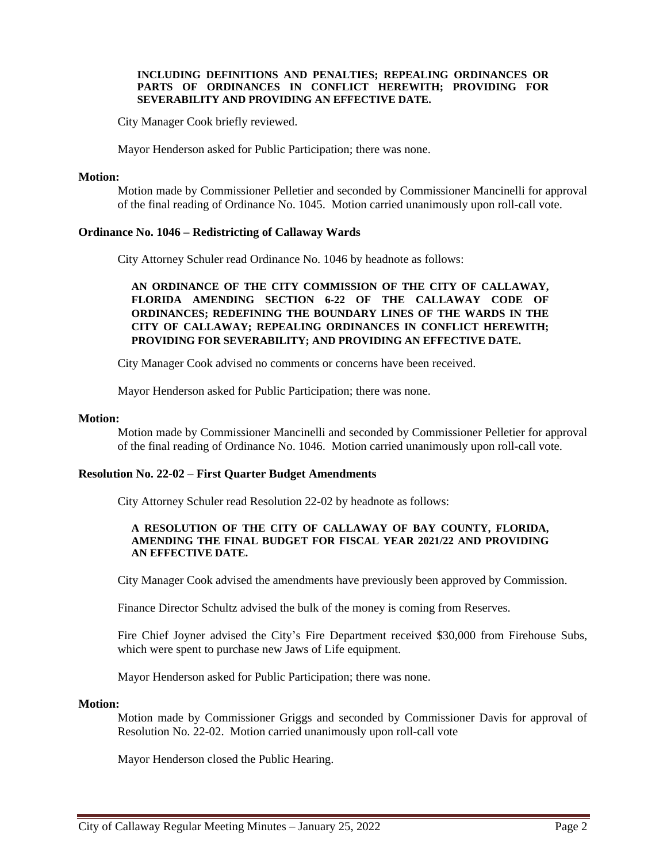#### **INCLUDING DEFINITIONS AND PENALTIES; REPEALING ORDINANCES OR PARTS OF ORDINANCES IN CONFLICT HEREWITH; PROVIDING FOR SEVERABILITY AND PROVIDING AN EFFECTIVE DATE.**

City Manager Cook briefly reviewed.

Mayor Henderson asked for Public Participation; there was none.

#### **Motion:**

Motion made by Commissioner Pelletier and seconded by Commissioner Mancinelli for approval of the final reading of Ordinance No. 1045. Motion carried unanimously upon roll-call vote.

### **Ordinance No. 1046 – Redistricting of Callaway Wards**

City Attorney Schuler read Ordinance No. 1046 by headnote as follows:

**AN ORDINANCE OF THE CITY COMMISSION OF THE CITY OF CALLAWAY, FLORIDA AMENDING SECTION 6-22 OF THE CALLAWAY CODE OF ORDINANCES; REDEFINING THE BOUNDARY LINES OF THE WARDS IN THE CITY OF CALLAWAY; REPEALING ORDINANCES IN CONFLICT HEREWITH; PROVIDING FOR SEVERABILITY; AND PROVIDING AN EFFECTIVE DATE.**

City Manager Cook advised no comments or concerns have been received.

Mayor Henderson asked for Public Participation; there was none.

#### **Motion:**

Motion made by Commissioner Mancinelli and seconded by Commissioner Pelletier for approval of the final reading of Ordinance No. 1046. Motion carried unanimously upon roll-call vote.

### **Resolution No. 22-02 – First Quarter Budget Amendments**

City Attorney Schuler read Resolution 22-02 by headnote as follows:

#### **A RESOLUTION OF THE CITY OF CALLAWAY OF BAY COUNTY, FLORIDA, AMENDING THE FINAL BUDGET FOR FISCAL YEAR 2021/22 AND PROVIDING AN EFFECTIVE DATE.**

City Manager Cook advised the amendments have previously been approved by Commission.

Finance Director Schultz advised the bulk of the money is coming from Reserves.

Fire Chief Joyner advised the City's Fire Department received \$30,000 from Firehouse Subs, which were spent to purchase new Jaws of Life equipment.

Mayor Henderson asked for Public Participation; there was none.

#### **Motion:**

Motion made by Commissioner Griggs and seconded by Commissioner Davis for approval of Resolution No. 22-02. Motion carried unanimously upon roll-call vote

Mayor Henderson closed the Public Hearing.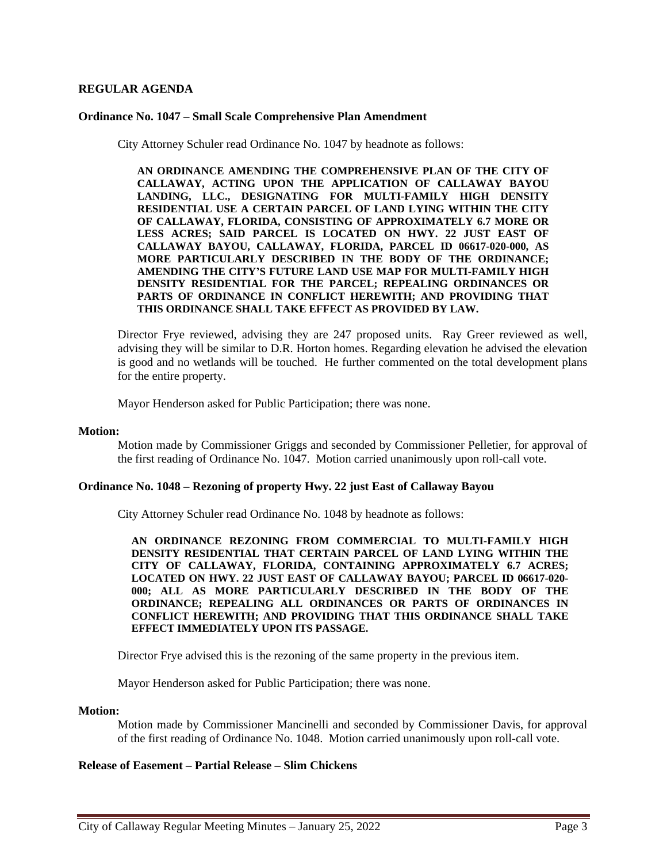### **REGULAR AGENDA**

#### **Ordinance No. 1047 – Small Scale Comprehensive Plan Amendment**

City Attorney Schuler read Ordinance No. 1047 by headnote as follows:

**AN ORDINANCE AMENDING THE COMPREHENSIVE PLAN OF THE CITY OF CALLAWAY, ACTING UPON THE APPLICATION OF CALLAWAY BAYOU LANDING, LLC., DESIGNATING FOR MULTI-FAMILY HIGH DENSITY RESIDENTIAL USE A CERTAIN PARCEL OF LAND LYING WITHIN THE CITY OF CALLAWAY, FLORIDA, CONSISTING OF APPROXIMATELY 6.7 MORE OR LESS ACRES; SAID PARCEL IS LOCATED ON HWY. 22 JUST EAST OF CALLAWAY BAYOU, CALLAWAY, FLORIDA, PARCEL ID 06617-020-000, AS MORE PARTICULARLY DESCRIBED IN THE BODY OF THE ORDINANCE; AMENDING THE CITY'S FUTURE LAND USE MAP FOR MULTI-FAMILY HIGH DENSITY RESIDENTIAL FOR THE PARCEL; REPEALING ORDINANCES OR PARTS OF ORDINANCE IN CONFLICT HEREWITH; AND PROVIDING THAT THIS ORDINANCE SHALL TAKE EFFECT AS PROVIDED BY LAW.**

Director Frye reviewed, advising they are 247 proposed units. Ray Greer reviewed as well, advising they will be similar to D.R. Horton homes. Regarding elevation he advised the elevation is good and no wetlands will be touched. He further commented on the total development plans for the entire property.

Mayor Henderson asked for Public Participation; there was none.

#### **Motion:**

Motion made by Commissioner Griggs and seconded by Commissioner Pelletier, for approval of the first reading of Ordinance No. 1047. Motion carried unanimously upon roll-call vote.

#### **Ordinance No. 1048 – Rezoning of property Hwy. 22 just East of Callaway Bayou**

City Attorney Schuler read Ordinance No. 1048 by headnote as follows:

**AN ORDINANCE REZONING FROM COMMERCIAL TO MULTI-FAMILY HIGH DENSITY RESIDENTIAL THAT CERTAIN PARCEL OF LAND LYING WITHIN THE CITY OF CALLAWAY, FLORIDA, CONTAINING APPROXIMATELY 6.7 ACRES; LOCATED ON HWY. 22 JUST EAST OF CALLAWAY BAYOU; PARCEL ID 06617-020- 000; ALL AS MORE PARTICULARLY DESCRIBED IN THE BODY OF THE ORDINANCE; REPEALING ALL ORDINANCES OR PARTS OF ORDINANCES IN CONFLICT HEREWITH; AND PROVIDING THAT THIS ORDINANCE SHALL TAKE EFFECT IMMEDIATELY UPON ITS PASSAGE.**

Director Frye advised this is the rezoning of the same property in the previous item.

Mayor Henderson asked for Public Participation; there was none.

#### **Motion:**

Motion made by Commissioner Mancinelli and seconded by Commissioner Davis, for approval of the first reading of Ordinance No. 1048. Motion carried unanimously upon roll-call vote.

#### **Release of Easement – Partial Release – Slim Chickens**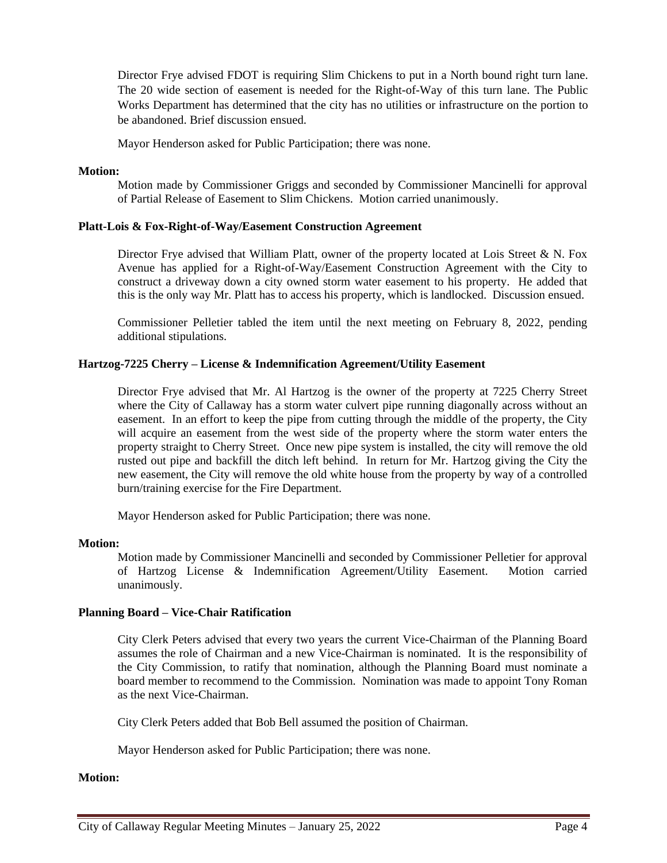Director Frye advised FDOT is requiring Slim Chickens to put in a North bound right turn lane. The 20 wide section of easement is needed for the Right-of-Way of this turn lane. The Public Works Department has determined that the city has no utilities or infrastructure on the portion to be abandoned. Brief discussion ensued.

Mayor Henderson asked for Public Participation; there was none.

#### **Motion:**

Motion made by Commissioner Griggs and seconded by Commissioner Mancinelli for approval of Partial Release of Easement to Slim Chickens. Motion carried unanimously.

#### **Platt-Lois & Fox-Right-of-Way/Easement Construction Agreement**

Director Frye advised that William Platt, owner of the property located at Lois Street & N. Fox Avenue has applied for a Right-of-Way/Easement Construction Agreement with the City to construct a driveway down a city owned storm water easement to his property. He added that this is the only way Mr. Platt has to access his property, which is landlocked. Discussion ensued.

Commissioner Pelletier tabled the item until the next meeting on February 8, 2022, pending additional stipulations.

#### **Hartzog-7225 Cherry – License & Indemnification Agreement/Utility Easement**

Director Frye advised that Mr. Al Hartzog is the owner of the property at 7225 Cherry Street where the City of Callaway has a storm water culvert pipe running diagonally across without an easement. In an effort to keep the pipe from cutting through the middle of the property, the City will acquire an easement from the west side of the property where the storm water enters the property straight to Cherry Street. Once new pipe system is installed, the city will remove the old rusted out pipe and backfill the ditch left behind. In return for Mr. Hartzog giving the City the new easement, the City will remove the old white house from the property by way of a controlled burn/training exercise for the Fire Department.

Mayor Henderson asked for Public Participation; there was none.

#### **Motion:**

Motion made by Commissioner Mancinelli and seconded by Commissioner Pelletier for approval of Hartzog License & Indemnification Agreement/Utility Easement. Motion carried unanimously.

### **Planning Board – Vice-Chair Ratification**

City Clerk Peters advised that every two years the current Vice-Chairman of the Planning Board assumes the role of Chairman and a new Vice-Chairman is nominated. It is the responsibility of the City Commission, to ratify that nomination, although the Planning Board must nominate a board member to recommend to the Commission. Nomination was made to appoint Tony Roman as the next Vice-Chairman.

City Clerk Peters added that Bob Bell assumed the position of Chairman.

Mayor Henderson asked for Public Participation; there was none.

### **Motion:**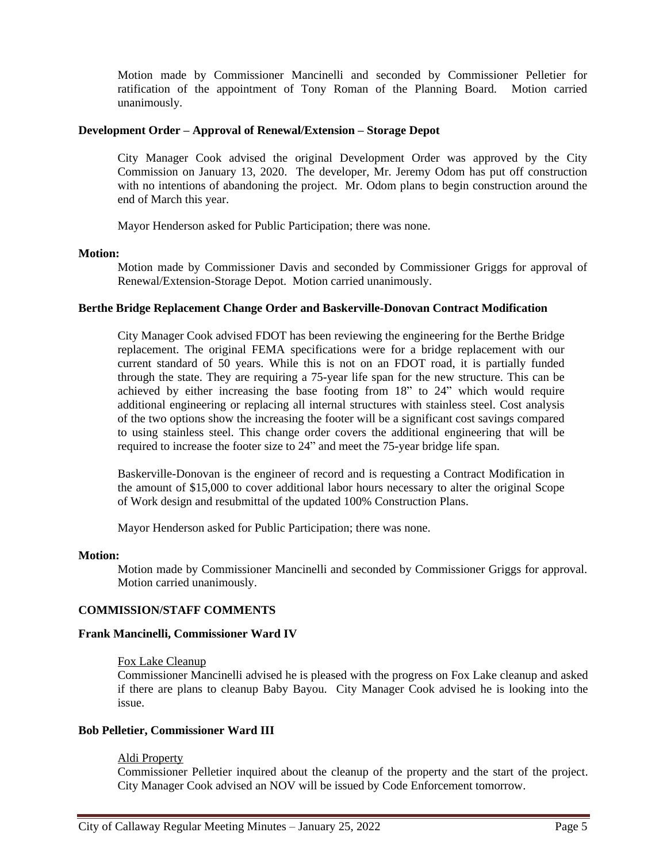Motion made by Commissioner Mancinelli and seconded by Commissioner Pelletier for ratification of the appointment of Tony Roman of the Planning Board. Motion carried unanimously.

### **Development Order – Approval of Renewal/Extension – Storage Depot**

City Manager Cook advised the original Development Order was approved by the City Commission on January 13, 2020. The developer, Mr. Jeremy Odom has put off construction with no intentions of abandoning the project. Mr. Odom plans to begin construction around the end of March this year.

Mayor Henderson asked for Public Participation; there was none.

#### **Motion:**

Motion made by Commissioner Davis and seconded by Commissioner Griggs for approval of Renewal/Extension-Storage Depot. Motion carried unanimously.

#### **Berthe Bridge Replacement Change Order and Baskerville-Donovan Contract Modification**

City Manager Cook advised FDOT has been reviewing the engineering for the Berthe Bridge replacement. The original FEMA specifications were for a bridge replacement with our current standard of 50 years. While this is not on an FDOT road, it is partially funded through the state. They are requiring a 75-year life span for the new structure. This can be achieved by either increasing the base footing from 18" to 24" which would require additional engineering or replacing all internal structures with stainless steel. Cost analysis of the two options show the increasing the footer will be a significant cost savings compared to using stainless steel. This change order covers the additional engineering that will be required to increase the footer size to 24" and meet the 75-year bridge life span.

Baskerville-Donovan is the engineer of record and is requesting a Contract Modification in the amount of \$15,000 to cover additional labor hours necessary to alter the original Scope of Work design and resubmittal of the updated 100% Construction Plans.

Mayor Henderson asked for Public Participation; there was none.

#### **Motion:**

Motion made by Commissioner Mancinelli and seconded by Commissioner Griggs for approval. Motion carried unanimously.

### **COMMISSION/STAFF COMMENTS**

#### **Frank Mancinelli, Commissioner Ward IV**

#### Fox Lake Cleanup

Commissioner Mancinelli advised he is pleased with the progress on Fox Lake cleanup and asked if there are plans to cleanup Baby Bayou. City Manager Cook advised he is looking into the issue.

### **Bob Pelletier, Commissioner Ward III**

#### Aldi Property

Commissioner Pelletier inquired about the cleanup of the property and the start of the project. City Manager Cook advised an NOV will be issued by Code Enforcement tomorrow.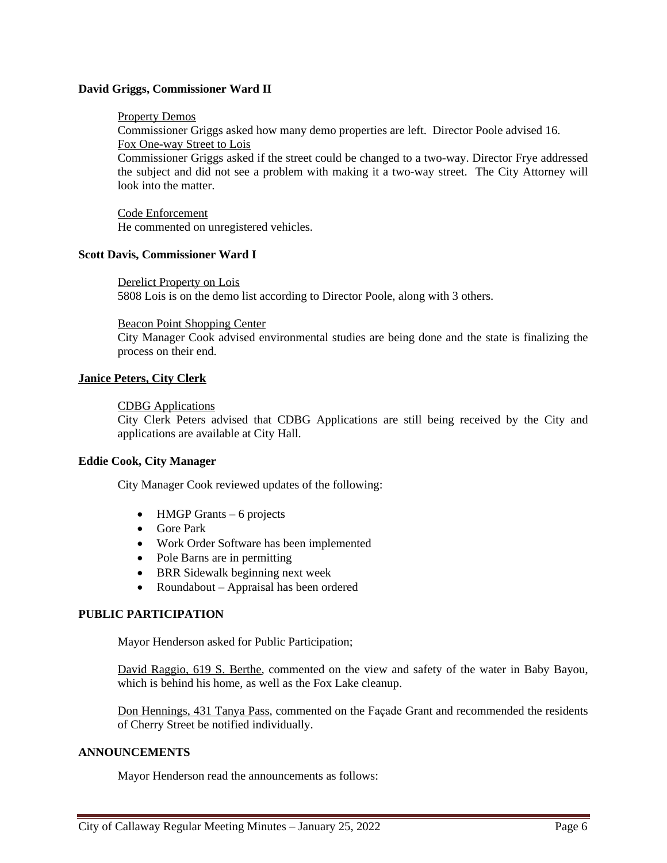### **David Griggs, Commissioner Ward II**

### Property Demos

Commissioner Griggs asked how many demo properties are left. Director Poole advised 16. Fox One-way Street to Lois

Commissioner Griggs asked if the street could be changed to a two-way. Director Frye addressed the subject and did not see a problem with making it a two-way street. The City Attorney will look into the matter.

Code Enforcement He commented on unregistered vehicles.

#### **Scott Davis, Commissioner Ward I**

Derelict Property on Lois 5808 Lois is on the demo list according to Director Poole, along with 3 others.

#### Beacon Point Shopping Center

City Manager Cook advised environmental studies are being done and the state is finalizing the process on their end.

### **Janice Peters, City Clerk**

#### CDBG Applications

City Clerk Peters advised that CDBG Applications are still being received by the City and applications are available at City Hall.

### **Eddie Cook, City Manager**

City Manager Cook reviewed updates of the following:

- $\bullet$  HMGP Grants 6 projects
- Gore Park
- Work Order Software has been implemented
- Pole Barns are in permitting
- BRR Sidewalk beginning next week
- Roundabout Appraisal has been ordered

### **PUBLIC PARTICIPATION**

Mayor Henderson asked for Public Participation;

David Raggio, 619 S. Berthe, commented on the view and safety of the water in Baby Bayou, which is behind his home, as well as the Fox Lake cleanup.

Don Hennings, 431 Tanya Pass, commented on the Façade Grant and recommended the residents of Cherry Street be notified individually.

#### **ANNOUNCEMENTS**

Mayor Henderson read the announcements as follows: